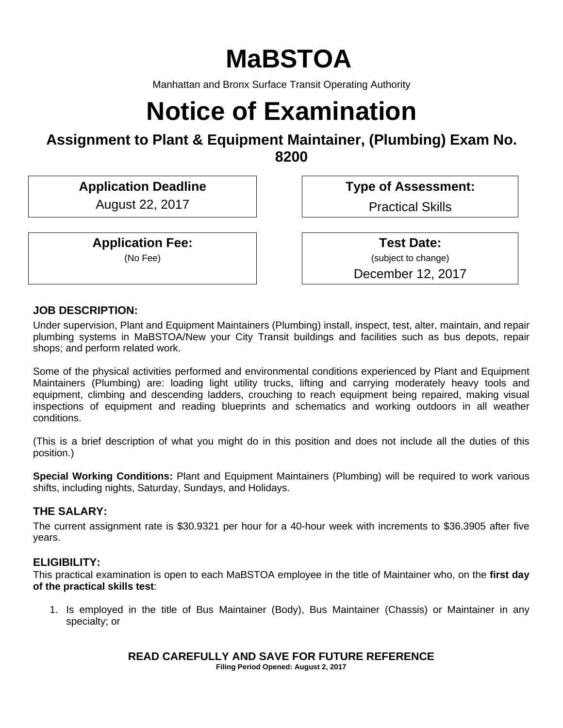# **MaBSTOA**

Manhattan and Bronx Surface Transit Operating Authority

# **Notice of Examination**

# **Assignment to Plant & Equipment Maintainer, (Plumbing) Exam No. 8200**

**Application Deadline Type of Assessment:** 

August 22, 2017 | | | Practical Skills

**Application Fee:**  (No Fee)

 **Test Date:** (subject to change) December 12, 2017

### **JOB DESCRIPTION:**

Under supervision, Plant and Equipment Maintainers (Plumbing) install, inspect, test, alter, maintain, and repair plumbing systems in MaBSTOA/New your City Transit buildings and facilities such as bus depots, repair shops; and perform related work.

Some of the physical activities performed and environmental conditions experienced by Plant and Equipment Maintainers (Plumbing) are: loading light utility trucks, lifting and carrying moderately heavy tools and equipment, climbing and descending ladders, crouching to reach equipment being repaired, making visual inspections of equipment and reading blueprints and schematics and working outdoors in all weather conditions.

(This is a brief description of what you might do in this position and does not include all the duties of this position.)

**Special Working Conditions:** Plant and Equipment Maintainers (Plumbing) will be required to work various shifts, including nights, Saturday, Sundays, and Holidays.

### **THE SALARY:**

The current assignment rate is \$30.9321 per hour for a 40-hour week with increments to \$36.3905 after five years.

### **ELIGIBILITY:**

This practical examination is open to each MaBSTOA employee in the title of Maintainer who, on the **first day of the practical skills test**:

1. Is employed in the title of Bus Maintainer (Body), Bus Maintainer (Chassis) or Maintainer in any specialty; or

# **READ CAREFULLY AND SAVE FOR FUTURE REFERENCE**

**Filing Period Opened: August 2, 2017**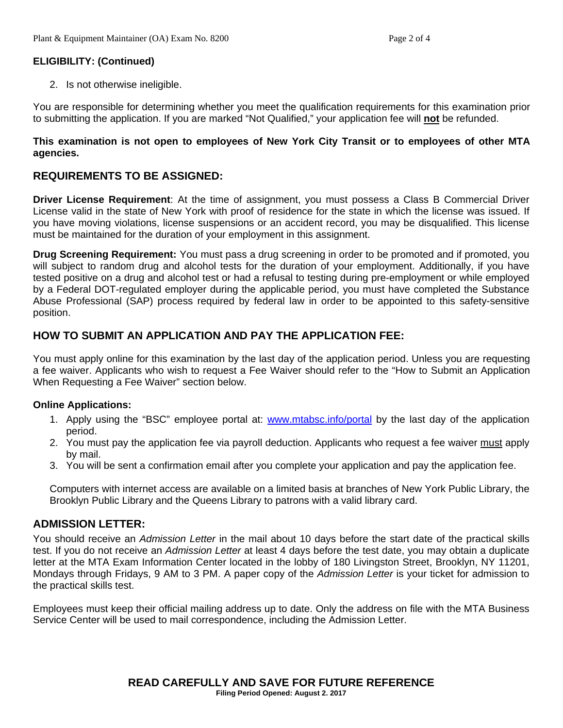### **ELIGIBILITY: (Continued)**

2. Is not otherwise ineligible.

You are responsible for determining whether you meet the qualification requirements for this examination prior to submitting the application. If you are marked "Not Qualified," your application fee will **not** be refunded.

#### **This examination is not open to employees of New York City Transit or to employees of other MTA agencies.**

# **REQUIREMENTS TO BE ASSIGNED:**

**Driver License Requirement**: At the time of assignment, you must possess a Class B Commercial Driver License valid in the state of New York with proof of residence for the state in which the license was issued. If you have moving violations, license suspensions or an accident record, you may be disqualified. This license must be maintained for the duration of your employment in this assignment.

**Drug Screening Requirement:** You must pass a drug screening in order to be promoted and if promoted, you will subject to random drug and alcohol tests for the duration of your employment. Additionally, if you have tested positive on a drug and alcohol test or had a refusal to testing during pre-employment or while employed by a Federal DOT-regulated employer during the applicable period, you must have completed the Substance Abuse Professional (SAP) process required by federal law in order to be appointed to this safety-sensitive position.

# **HOW TO SUBMIT AN APPLICATION AND PAY THE APPLICATION FEE:**

You must apply online for this examination by the last day of the application period. Unless you are requesting a fee waiver. Applicants who wish to request a Fee Waiver should refer to the "How to Submit an Application When Requesting a Fee Waiver" section below.

#### **Online Applications:**

- 1. Apply using the "BSC" employee portal at: www.mtabsc.info/portal by the last day of the application period.
- 2. You must pay the application fee via payroll deduction. Applicants who request a fee waiver must apply by mail.
- 3. You will be sent a confirmation email after you complete your application and pay the application fee.

Computers with internet access are available on a limited basis at branches of New York Public Library, the Brooklyn Public Library and the Queens Library to patrons with a valid library card.

### **ADMISSION LETTER:**

You should receive an *Admission Letter* in the mail about 10 days before the start date of the practical skills test. If you do not receive an *Admission Letter* at least 4 days before the test date, you may obtain a duplicate letter at the MTA Exam Information Center located in the lobby of 180 Livingston Street, Brooklyn, NY 11201, Mondays through Fridays, 9 AM to 3 PM. A paper copy of the *Admission Letter* is your ticket for admission to the practical skills test.

Employees must keep their official mailing address up to date. Only the address on file with the MTA Business Service Center will be used to mail correspondence, including the Admission Letter.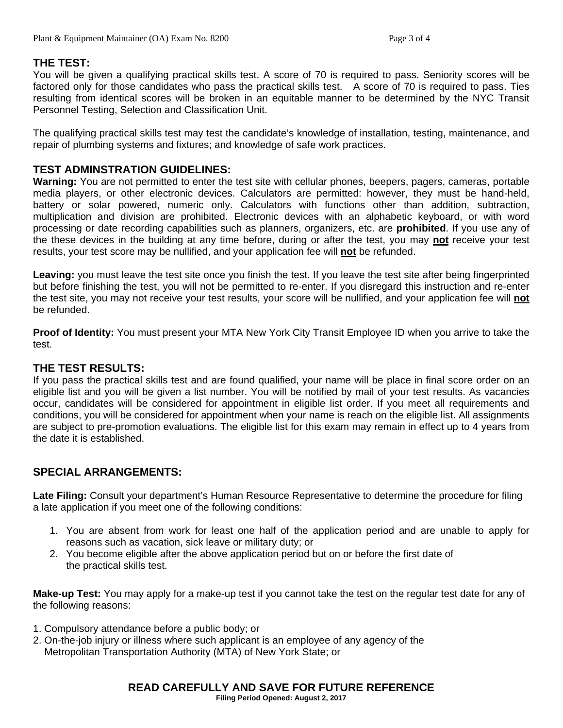#### **THE TEST:**

You will be given a qualifying practical skills test. A score of 70 is required to pass. Seniority scores will be factored only for those candidates who pass the practical skills test. A score of 70 is required to pass. Ties resulting from identical scores will be broken in an equitable manner to be determined by the NYC Transit Personnel Testing, Selection and Classification Unit.

The qualifying practical skills test may test the candidate's knowledge of installation, testing, maintenance, and repair of plumbing systems and fixtures; and knowledge of safe work practices.

#### **TEST ADMINSTRATION GUIDELINES:**

**Warning:** You are not permitted to enter the test site with cellular phones, beepers, pagers, cameras, portable media players, or other electronic devices. Calculators are permitted: however, they must be hand-held, battery or solar powered, numeric only. Calculators with functions other than addition, subtraction, multiplication and division are prohibited. Electronic devices with an alphabetic keyboard, or with word processing or date recording capabilities such as planners, organizers, etc. are **prohibited**. If you use any of the these devices in the building at any time before, during or after the test, you may **not** receive your test results, your test score may be nullified, and your application fee will **not** be refunded.

**Leaving:** you must leave the test site once you finish the test. If you leave the test site after being fingerprinted but before finishing the test, you will not be permitted to re-enter. If you disregard this instruction and re-enter the test site, you may not receive your test results, your score will be nullified, and your application fee will **not** be refunded.

**Proof of Identity:** You must present your MTA New York City Transit Employee ID when you arrive to take the test.

#### **THE TEST RESULTS:**

If you pass the practical skills test and are found qualified, your name will be place in final score order on an eligible list and you will be given a list number. You will be notified by mail of your test results. As vacancies occur, candidates will be considered for appointment in eligible list order. If you meet all requirements and conditions, you will be considered for appointment when your name is reach on the eligible list. All assignments are subject to pre-promotion evaluations. The eligible list for this exam may remain in effect up to 4 years from the date it is established.

### **SPECIAL ARRANGEMENTS:**

**Late Filing:** Consult your department's Human Resource Representative to determine the procedure for filing a late application if you meet one of the following conditions:

- 1. You are absent from work for least one half of the application period and are unable to apply for reasons such as vacation, sick leave or military duty; or
- 2. You become eligible after the above application period but on or before the first date of the practical skills test.

**Make-up Test:** You may apply for a make-up test if you cannot take the test on the regular test date for any of the following reasons:

- 1. Compulsory attendance before a public body; or
- 2. On-the-job injury or illness where such applicant is an employee of any agency of the Metropolitan Transportation Authority (MTA) of New York State; or